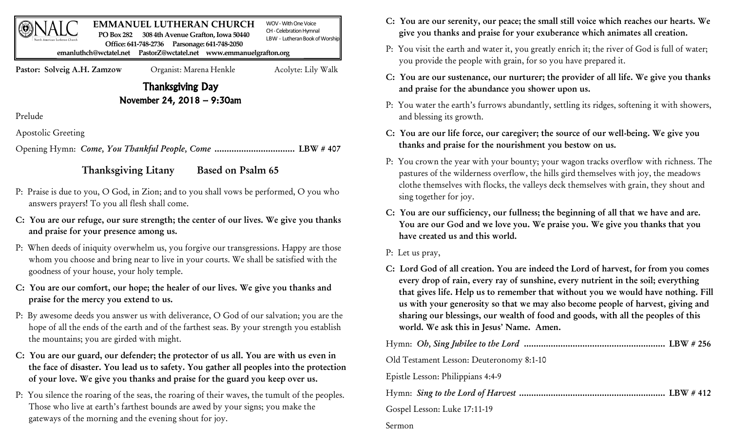| <b>PO Box 282</b><br>North American Lutheran Church | <b>EMMANUEL LUTHERAN CHURCH</b><br>308 4th Avenue Grafton, Iowa 50440<br>Parsonage: 641-748-2050<br>Office: 641-748-2736<br>emanluthch@wctatel.net PastorZ@wctatel.net www.emmanuelgrafton.org | WOV - With One Voice<br>CH - Celebration Hymnal<br>LBW - Lutheran Book of Worship |  |
|-----------------------------------------------------|------------------------------------------------------------------------------------------------------------------------------------------------------------------------------------------------|-----------------------------------------------------------------------------------|--|
| Pastor: Solveig A.H. Zamzow                         | Organist: Marena Henkle                                                                                                                                                                        | Acolyte: Lily Walk                                                                |  |
| <b>Thanksgiving Day</b>                             |                                                                                                                                                                                                |                                                                                   |  |
| November 24, 2018 - 9:30am                          |                                                                                                                                                                                                |                                                                                   |  |
| Prelude                                             |                                                                                                                                                                                                |                                                                                   |  |

Apostolic Greeting

Opening Hymn: *Come, You Thankful People, Come* ................................. LBW # 407

## Thanksgiving Litany Based on Psalm 65

- P: Praise is due to you, O God, in Zion; and to you shall vows be performed, O you who answers prayers! To you all flesh shall come.
- C: You are our refuge, our sure strength; the center of our lives. We give you thanks and praise for your presence among us.
- P: When deeds of iniquity overwhelm us, you forgive our transgressions. Happy are those whom you choose and bring near to live in your courts. We shall be satisfied with the goodness of your house, your holy temple.
- C: You are our comfort, our hope; the healer of our lives. We give you thanks and praise for the mercy you extend to us.
- P: By awesome deeds you answer us with deliverance, O God of our salvation; you are the hope of all the ends of the earth and of the farthest seas. By your strength you establish the mountains; you are girded with might.
- C: You are our guard, our defender; the protector of us all. You are with us even in the face of disaster. You lead us to safety. You gather all peoples into the protection of your love. We give you thanks and praise for the guard you keep over us.
- P: You silence the roaring of the seas, the roaring of their waves, the tumult of the peoples. Those who live at earth's farthest bounds are awed by your signs; you make the gateways of the morning and the evening shout for joy.
- C: You are our serenity, our peace; the small still voice which reaches our hearts. We give you thanks and praise for your exuberance which animates all creation.
- P: You visit the earth and water it, you greatly enrich it; the river of God is full of water; you provide the people with grain, for so you have prepared it.
- C: You are our sustenance, our nurturer; the provider of all life. We give you thanks and praise for the abundance you shower upon us.
- P: You water the earth's furrows abundantly, settling its ridges, softening it with showers, and blessing its growth.
- C: You are our life force, our caregiver; the source of our well-being. We give you thanks and praise for the nourishment you bestow on us.
- P: You crown the year with your bounty; your wagon tracks overflow with richness. The pastures of the wilderness overflow, the hills gird themselves with joy, the meadows clothe themselves with flocks, the valleys deck themselves with grain, they shout and sing together for joy.
- C: You are our sufficiency, our fullness; the beginning of all that we have and are. You are our God and we love you. We praise you. We give you thanks that you have created us and this world.
- P: Let us pray,
- C: Lord God of all creation. You are indeed the Lord of harvest, for from you comes every drop of rain, every ray of sunshine, every nutrient in the soil; everything that gives life. Help us to remember that without you we would have nothing. Fill us with your generosity so that we may also become people of harvest, giving and sharing our blessings, our wealth of food and goods, with all the peoples of this world. We ask this in Jesus' Name. Amen.

| Old Testament Lesson: Deuteronomy 8:1-10 |  |
|------------------------------------------|--|
| Epistle Lesson: Philippians 4:4-9        |  |
|                                          |  |
| Gospel Lesson: Luke 17:11-19             |  |
| Sermon                                   |  |